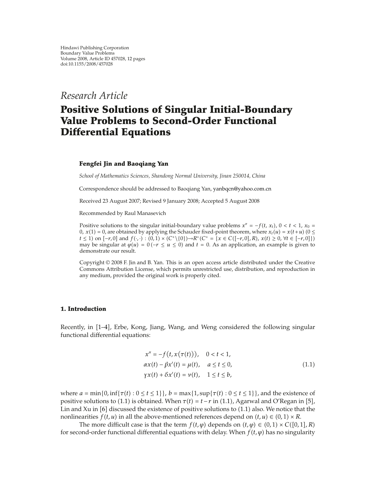*Research Article*

# **Positive Solutions of Singular Initial-Boundary Value Problems to Second-Order Functional Differential Equations**

### **Fengfei Jin and Baoqiang Yan**

*School of Mathematics Sciences, Shandong Normal University, Jinan 250014, China*

Correspondence should be addressed to Baoqiang Yan, yanbqcn@yahoo.com.cn

Received 23 August 2007; Revised 9 January 2008; Accepted 5 August 2008

Recommended by Raul Manasevich

Positive solutions to the singular initial-boundary value problems  $x'' = -f(t, x_t)$ ,  $0 < t < 1$ ,  $x_0 =$ 0*,*  $x(1) = 0$ *,* are obtained by applying the Schauder fixed-point theorem, where  $x_t(u) = x(t+u)$  (0  $\leq$  $t \le 1$  on  $[-r, 0]$  and  $f(\cdot, \cdot) : (0, 1) \times (C^{\perp} \setminus \{0\}) \to R^{\perp} (C^{\perp} = \{x \in C([-r, 0], R), x(t) \ge 0, \forall t \in [-r, 0]\})$ may be singular at  $\varphi(u) = 0$  ( $-r \le u \le 0$ ) and  $t = 0$ . As an application, an example is given to demonstrate our result.

Copyright © 2008 F. Jin and B. Yan. This is an open access article distributed under the Creative Commons Attribution License, which permits unrestricted use, distribution, and reproduction in any medium, provided the original work is properly cited.

#### **1. Introduction**

Recently, in 1–4, Erbe, Kong, Jiang, Wang, and Weng considered the following singular functional differential equations:

$$
x'' = -f(t, x(\tau(t))), \quad 0 < t < 1,
$$
\n
$$
\alpha x(t) - \beta x'(t) = \mu(t), \quad a \le t \le 0,
$$
\n
$$
\gamma x(t) + \delta x'(t) = \nu(t), \quad 1 \le t \le b,
$$
\n
$$
(1.1)
$$

where  $a = \min\{0, \inf\{\tau(t) : 0 \le t \le 1\}\}\$ ,  $b = \max\{1, \sup\{\tau(t) : 0 \le t \le 1\}\}\$ , and the existence of positive solutions to (1.1) is obtained. When  $\tau(t) = t - r$  in (1.1), Agarwal and O'Regan in [5], Lin and Xu in  $[6]$  discussed the existence of positive solutions to  $(1.1)$  also. We notice that the nonlinearities *f(t, u)* in all the above-mentioned references depend on  $(t, u) \in (0, 1) \times R$ .

The more difficult case is that the term  $f(t, \varphi)$  depends on  $(t, \varphi) \in (0, 1) \times C([0, 1], R)$ for second-order functional differential equations with delay. When  $f(t, \varphi)$  has no singularity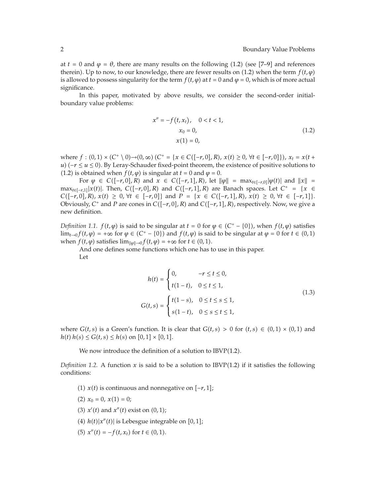at  $t = 0$  and  $\varphi = \theta$ , there are many results on the following (1.2) (see [7–9] and references therein. Up to now, to our knowledge, there are fewer results on (1.2) when the term  $f(t, \varphi)$ is allowed to possess singularity for the term  $f(t, \varphi)$  at  $t = 0$  and  $\varphi = 0$ , which is of more actual significance.

In this paper, motivated by above results, we consider the second-order initialboundary value problems:

$$
x'' = -f(t, x_t), \quad 0 < t < 1,
$$
  
\n
$$
x_0 = 0,
$$
  
\n
$$
x(1) = 0,
$$
\n(1.2)

where  $f : (0,1) \times (C^+ \setminus 0) \to (0,\infty)$   $(C^+ = \{x \in C([-r,0], R), x(t) \ge 0, \forall t \in [-r,0]\})$ ,  $x_t = x(t+$ *u*)  $(-r \le u \le 0)$ . By Leray-Schauder fixed-point theorem, the existence of positive solutions to (1.2) is obtained when  $f(t, \varphi)$  is singular at  $t = 0$  and  $\varphi = 0$ .

For  $\varphi \in C([-r, 0], R)$  and  $x \in C([-r, 1], R)$ , let  $\|\varphi\| = \max_{t \in [-r, 0]} |\varphi(t)|$  and  $\|x\| =$ max<sub>*t*∈[-*r*,1]| $x(t)$ |. Then,  $C([-r, 0], R)$  and  $C([-r, 1], R)$  are Banach spaces. Let  $C^+ = \{x \in$ </sub> *C*( $[-r, 0]$ *, R*)*, x*(*t*) ≥ 0*,* ∀*t* ∈  $[-r, 0]$ } and *P* = {*x* ∈ *C*( $[-r, 1]$ *, R*)*, x*(*t*) ≥ 0*,* ∀*t* ∈  $[-r, 1]$ }. Obviously,  $C^+$  and  $P$  are cones in  $C([-r, 0], R)$  and  $C([-r, 1], R)$ , respectively. Now, we give a new definition.

*Definition 1.1.*  $f(t, \varphi)$  is said to be singular at  $t = 0$  for  $\varphi \in (C^+ - \{0\})$ , when  $f(t, \varphi)$  satisfies lim<sub>*t*→0</sub>*f*(*t*,  $\varphi$ ) = +∞ for  $\varphi$  ∈ (C<sup>+</sup> − {0}) and *f*(*t*,  $\varphi$ ) is said to be singular at  $\varphi$  = 0 for *t* ∈ (0, 1) when *f*(*t*,  $\varphi$ ) satisfies  $\lim_{\|\varphi\| \to 0} f(t, \varphi) = +\infty$  for  $t \in (0, 1)$ .

And one defines some functions which one has to use in this paper. Let

$$
h(t) = \begin{cases} 0, & -r \le t \le 0, \\ t(1-t), & 0 \le t \le 1, \end{cases}
$$
  

$$
G(t,s) = \begin{cases} t(1-s), & 0 \le t \le s \le 1, \\ s(1-t), & 0 \le s \le t \le 1, \end{cases}
$$
 (1.3)

where  $G(t, s)$  is a Green's function. It is clear that  $G(t, s) > 0$  for  $(t, s) \in (0, 1) \times (0, 1)$  and  $h(t)$   $h(s) \le G(t, s) \le h(s)$  on  $[0, 1] \times [0, 1]$ .

We now introduce the definition of a solution to IBVP $(1.2)$ .

*Definition 1.2.* A function x is said to be a solution to IBVP $(1.2)$  if it satisfies the following conditions:

- $(1)$  *x*(*t*) is continuous and nonnegative on  $[−r, 1]$ ;
- $(2)$   $x_0 = 0$ ,  $x(1) = 0$ ;
- $f(3)$   $x'(t)$  and  $x''(t)$  exist on  $(0, 1)$ ;
- (4)  $h(t)|x''(t)|$  is Lebesgue integrable on [0, 1];
- (5)  $x''(t) = -f(t, x_t)$  for  $t \in (0, 1)$ .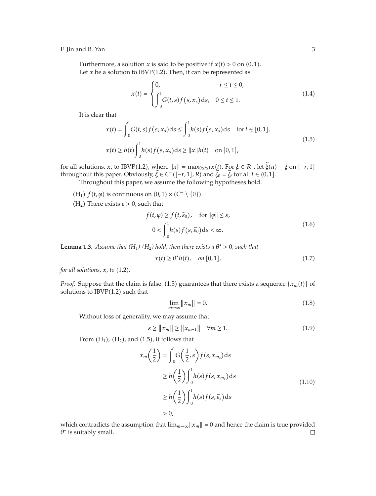Furthermore, a solution *x* is said to be positive if  $x(t) > 0$  on  $(0, 1)$ . Let  $x$  be a solution to IBVP(1.2). Then, it can be represented as

$$
x(t) = \begin{cases} 0, & -r \le t \le 0, \\ \int_0^1 G(t,s)f(s,x_s)ds, & 0 \le t \le 1. \end{cases}
$$
(1.4)

It is clear that

$$
x(t) = \int_0^1 G(t, s) f(s, x_s) ds \le \int_0^1 h(s) f(s, x_s) ds \quad \text{for } t \in [0, 1],
$$
  

$$
x(t) \ge h(t) \int_0^1 h(s) f(s, x_s) ds \ge ||x|| h(t) \quad \text{on } [0, 1],
$$
 (1.5)

for all solutions, *x*, to IBVP(1.2), where  $||x|| = \max_{0 \le t \le 1} x(t)$ . For  $\xi \in R^+$ , let  $\xi(u) \equiv \xi$  on  $[-r, 1]$ throughout this paper. Obviously,  $\tilde{\zeta} \in C^+([-r, 1], R)$  and  $\tilde{\zeta}_0 = \tilde{\zeta}_t$  for all  $t \in (0, 1]$ .

Throughout this paper, we assume the following hypotheses hold.

- (H<sub>1</sub>)  $f(t, \varphi)$  is continuous on  $(0, 1) \times (C^{\dagger} \setminus \{0\}).$
- (H<sub>2</sub>) There exists  $\varepsilon > 0$ , such that

$$
f(t, \varphi) \ge f(t, \tilde{\varepsilon}_0), \quad \text{for } \|\varphi\| \le \varepsilon,
$$
  

$$
0 < \int_0^1 h(s) f(s, \tilde{\varepsilon}_0) \, ds < \infty.
$$
 (1.6)

**Lemma 1.3.** *Assume that*  $(H_1)$ - $(H_2)$  *hold, then there exists a*  $\theta^* > 0$ *, such that* 

$$
x(t) \ge \theta^* h(t), \quad on [0, 1], \tag{1.7}
$$

*for all solutions,*  $x$ *, to*  $(1.2)$ *.* 

*Proof.* Suppose that the claim is false. (1.5) guarantees that there exists a sequence  $\{x_m(t)\}$  of solutions to  $IBVP(1.2)$  such that

$$
\lim_{m \to \infty} ||x_m|| = 0. \tag{1.8}
$$

Without loss of generality, we may assume that

$$
\varepsilon \ge ||x_m|| \ge ||x_{m+1}|| \quad \forall m \ge 1. \tag{1.9}
$$

From  $(H_1)$ ,  $(H_2)$ , and  $(1.5)$ , it follows that

$$
x_m\left(\frac{1}{2}\right) = \int_0^1 G\left(\frac{1}{2}, s\right) f(s, x_{m_s}) ds
$$
  
\n
$$
\geq h\left(\frac{1}{2}\right) \int_0^1 h(s) f(s, x_{m_s}) ds
$$
  
\n
$$
\geq h\left(\frac{1}{2}\right) \int_0^1 h(s) f(s, \tilde{\varepsilon}_s) ds
$$
  
\n
$$
> 0,
$$
\n(1.10)

which contradicts the assumption that  $\lim_{m\to\infty} ||x_m|| = 0$  and hence the claim is true provided *θ*<sup>∗</sup> is suitably small. $\Box$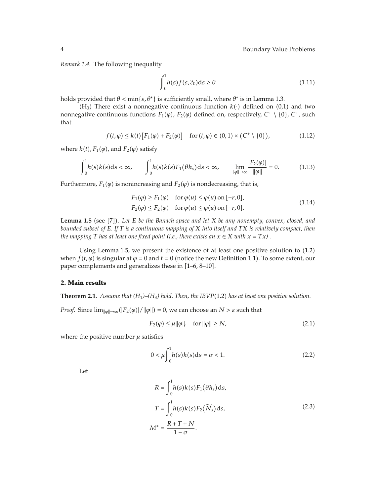*Remark 1.4.* The following inequality

$$
\int_{0}^{1} h(s)f(s,\tilde{\varepsilon}_{0})ds \geq \theta \tag{1.11}
$$

holds provided that  $θ < min{ε, θ^*}$  is sufficiently small, where  $θ^*$  is in Lemma 1.3.

(H<sub>3</sub>) There exist a nonnegative continuous function  $k(\cdot)$  defined on (0,1) and two nonnegative continuous functions  $F_1(\varphi)$ ,  $F_2(\varphi)$  defined on, respectively,  $C^+ \setminus \{0\}$ ,  $C^+$ , such that

$$
f(t,\varphi) \le k(t) \left[ F_1(\varphi) + F_2(\varphi) \right] \quad \text{for } (t,\varphi) \in (0,1) \times \left( C^+ \setminus \{0\} \right), \tag{1.12}
$$

where  $k(t)$ ,  $F_1(\varphi)$ , and  $F_2(\varphi)$  satisfy

$$
\int_0^1 h(s)k(s)ds < \infty, \qquad \int_0^1 h(s)k(s)F_1(\theta h_s)ds < \infty, \qquad \lim_{\|\varphi\| \to \infty} \frac{|F_2(\varphi)|}{\|\varphi\|} = 0. \tag{1.13}
$$

Furthermore,  $F_1(\varphi)$  is nonincreasing and  $F_2(\varphi)$  is nondecreasing, that is,

$$
F_1(\varphi) \ge F_1(\varphi) \quad \text{for } \varphi(u) \le \varphi(u) \text{ on } [-r, 0],
$$
  
\n
$$
F_2(\varphi) \le F_2(\varphi) \quad \text{for } \varphi(u) \le \varphi(u) \text{ on } [-r, 0].
$$
\n(1.14)

**Lemma 1.5** (see [7]). Let *E* be the Banach space and let *X* be any nonempty, convex, closed, and *bounded subset of E. If T is a continuous mapping of X into itself and TX is relatively compact, then the mapping*  $T$  *has at least one fixed point (i.e., there exists an*  $x \in X$  *with*  $x = Tx$ *) .* 

Using Lemma 1.5, we present the existence of at least one positive solution to  $(1.2)$ when  $f(t, \varphi)$  is singular at  $\varphi = 0$  and  $t = 0$  (notice the new Definition 1.1). To some extent, our paper complements and generalizes these in  $[1-6, 8-10]$ .

## **2. Main results**

**Theorem 2.1.** *Assume that (H*1*)–(H*3*) hold. Then, the IBVP*1.2 *has at least one positive solution.*

*Proof.* Since  $\lim_{\|\varphi\| \to \infty} (|F_2(\varphi)| / \|\varphi\|) = 0$ , we can choose an  $N > \varepsilon$  such that

$$
F_2(\varphi) \le \mu \|\varphi\| \quad \text{for } \|\varphi\| \ge N,\tag{2.1}
$$

where the positive number  $\mu$  satisfies

$$
0 < \mu \int_0^1 h(s)k(s)ds = \sigma < 1. \tag{2.2}
$$

Let

$$
R = \int_0^1 h(s)k(s)F_1(\theta h_s)ds,
$$
  
\n
$$
T = \int_0^1 h(s)k(s)F_2(\widetilde{N}_s)ds,
$$
  
\n
$$
M^* = \frac{R + T + N}{1 - \sigma}.
$$
\n(2.3)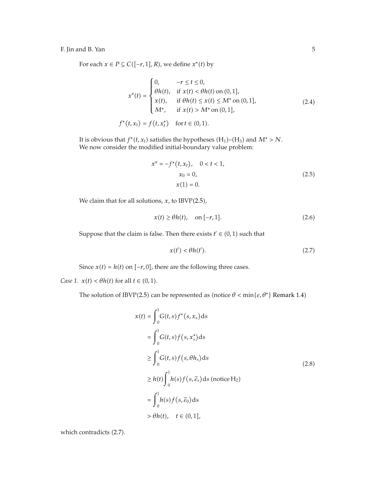For each  $x \in P \subseteq C([-r, 1], R)$ , we define  $x^*(t)$  by

$$
x^*(t) = \begin{cases} 0, & -r \le t \le 0, \\ \theta h(t), & \text{if } x(t) < \theta h(t) \text{ on } (0,1], \\ x(t), & \text{if } \theta h(t) \le x(t) \le M^* \text{ on } (0,1], \\ M^*, & \text{if } x(t) > M^* \text{ on } (0,1], \end{cases}
$$
(2.4)  

$$
f^*(t, x_t) = f(t, x_t^*) \text{ for } t \in (0,1).
$$

It is obvious that  $f^*(t, x_t)$  satisfies the hypotheses  $(H_1)$ – $(H_3)$  and  $M^* > N$ . We now consider the modified initial-boundary value problem:

$$
x'' = -f^*(t, x_t), \quad 0 < t < 1,
$$
  
\n
$$
x_0 = 0,
$$
  
\n
$$
x(1) = 0.
$$
\n(2.5)

We claim that for all solutions,  $x$ , to IBVP(2.5),

$$
x(t) \ge \theta h(t), \quad \text{on } [-r, 1]. \tag{2.6}
$$

Suppose that the claim is false. Then there exists  $t' \in (0,1)$  such that

$$
x(t') < \theta h(t').\tag{2.7}
$$

Since  $x(t) = h(t)$  on  $[-r, 0]$ , there are the following three cases.

*Case 1.*  $x(t) < \theta h(t)$  for all  $t \in (0, 1)$ .

The solution of IBVP(2.5) can be represented as (notice  $\theta$  < min{ $\varepsilon$ ,  $\theta^*$ } Remark 1.4)

$$
x(t) = \int_0^1 G(t,s)f^*(s,x_s)ds
$$
  
\n
$$
= \int_0^1 G(t,s)f(s,x_s^*)ds
$$
  
\n
$$
\geq \int_0^1 G(t,s)f(s,\theta h_s)ds
$$
  
\n
$$
\geq h(t)\int_0^1 h(s)f(s,\tilde{\varepsilon}_s)ds \text{ (notice H2)}
$$
  
\n
$$
= \int_0^1 h(s)f(s,\tilde{\varepsilon}_0)ds
$$
  
\n
$$
> \theta h(t), \quad t \in (0,1],
$$

which contradicts (2.7).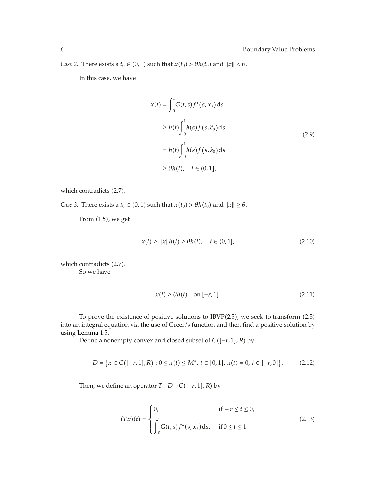*Case 2.* There exists a *t*<sup>0</sup>  $\in$  (0, 1) such that *x(t*<sup>0</sup>) >  $\theta$ *h(t*<sup>0</sup>) and  $||x|| < \theta$ .

In this case, we have

$$
x(t) = \int_0^1 G(t, s) f^*(s, x_s) ds
$$
  
\n
$$
\geq h(t) \int_0^1 h(s) f(s, \tilde{\varepsilon}_s) ds
$$
  
\n
$$
= h(t) \int_0^1 h(s) f(s, \tilde{\varepsilon}_0) ds
$$
  
\n
$$
\geq \theta h(t), \quad t \in (0, 1],
$$

which contradicts (2.7).

*Case 3.* There exists a  $t_0 \in (0, 1)$  such that  $x(t_0) > \theta h(t_0)$  and  $||x|| \ge \theta$ .

From  $(1.5)$ , we get

$$
x(t) \ge ||x||h(t) \ge \theta h(t), \quad t \in (0, 1], \tag{2.10}
$$

which contradicts  $(2.7)$ . So we have

$$
x(t) \ge \theta h(t) \quad \text{on } [-r, 1]. \tag{2.11}
$$

To prove the existence of positive solutions to  $IBVP(2.5)$ , we seek to transform  $(2.5)$ into an integral equation via the use of Green's function and then find a positive solution by using Lemma 1.5.

Define a nonempty convex and closed subset of *C*−*r,* 1*, R* by

$$
D = \{x \in C([-r, 1], R) : 0 \le x(t) \le M^*, t \in [0, 1], x(t) = 0, t \in [-r, 0]\}.
$$
 (2.12)

Then, we define an operator  $T : D \rightarrow C([-r, 1], R)$  by

$$
(Tx)(t) = \begin{cases} 0, & \text{if } -r \le t \le 0, \\ \int_0^1 G(t,s) f^*(s,x_s) \, ds, & \text{if } 0 \le t \le 1. \end{cases}
$$
\n(2.13)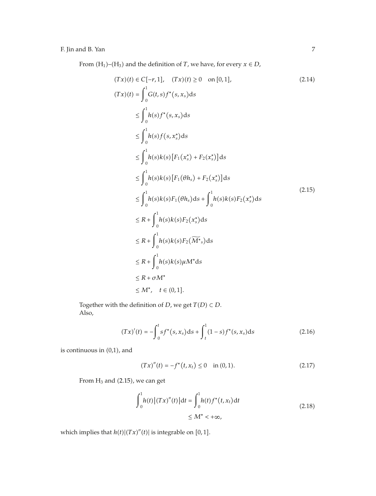From  $(H_1)$ – $(H_3)$  and the definition of *T*, we have, for every  $x \in D$ ,

$$
(Tx)(t) \in C[-r, 1], (Tx)(t) \ge 0 \text{ on } [0, 1],
$$
\n
$$
(Tx)(t) = \int_0^1 G(t, s) f^*(s, x_s) ds
$$
\n
$$
\le \int_0^1 h(s) f^*(s, x_s) ds
$$
\n
$$
\le \int_0^1 h(s) f(s, x_s^*) ds
$$
\n
$$
\le \int_0^1 h(s) k(s) [F_1(x_s^*) + F_2(x_s^*)] ds
$$
\n
$$
\le \int_0^1 h(s) k(s) [F_1(\theta h_s) + F_2(x_s^*)] ds
$$
\n
$$
\le \int_0^1 h(s) k(s) F_1(\theta h_s) ds + \int_0^1 h(s) k(s) F_2(x_s^*) ds
$$
\n
$$
\le R + \int_0^1 h(s) k(s) F_2(x_s^*) ds
$$
\n
$$
\le R + \int_0^1 h(s) k(s) F_2(\overline{M^*}_s) ds
$$
\n
$$
\le R + \int_0^1 h(s) k(s) \mu M^* ds
$$
\n
$$
\le R + \sigma M^*
$$
\n
$$
\le M^*, t \in (0, 1].
$$
\n(2.14)

Together with the definition of *D*, we get  $T(D) \subset D$ . Also,

$$
(Tx)'(t) = -\int_0^t s f^*(s, x_s) ds + \int_t^1 (1 - s) f^*(s, x_s) ds
$$
\n(2.16)

is continuous in  $(0,1)$ , and

$$
(Tx)''(t) = -f^*(t, x_t) \le 0 \quad \text{in (0, 1).} \tag{2.17}
$$

From  $H_3$  and (2.15), we can get

$$
\int_{0}^{1} h(t) |(Tx)''(t)| dt = \int_{0}^{1} h(t) f^{*}(t, x_{t}) dt
$$
  
  $\leq M^{*} < +\infty,$  (2.18)

which implies that  $h(t)$  $|(Tx)''(t)|$  is integrable on [0, 1].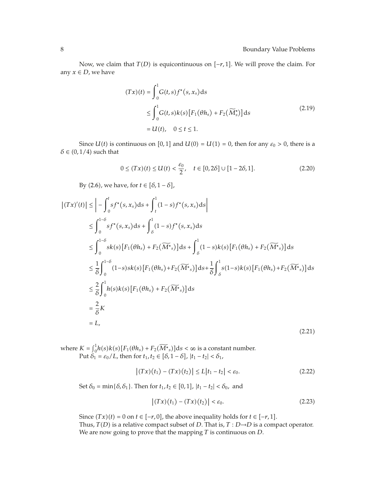Now, we claim that  $T(D)$  is equicontinuous on  $[-r, 1]$ . We will prove the claim. For any  $x \in D$ , we have

$$
(Tx)(t) = \int_0^1 G(t,s)f^*(s,x_s)ds
$$
  
\n
$$
\leq \int_0^1 G(t,s)k(s)[F_1(\theta h_s) + F_2(\widetilde{M}_s^*)]ds
$$
  
\n
$$
= U(t), \quad 0 \leq t \leq 1.
$$
\n(2.19)

Since  $U(t)$  is continuous on [0, 1] and  $U(0) = U(1) = 0$ , then for any  $\varepsilon_0 > 0$ , there is a  $\delta \in (0, 1/4)$  such that

$$
0 \le (Tx)(t) \le U(t) < \frac{\varepsilon_0}{2}, \quad t \in [0, 2\delta] \cup [1 - 2\delta, 1]. \tag{2.20}
$$

By (2.6), we have, for  $t \in [\delta, 1 - \delta]$ ,

$$
\left| (Tx)'(t) \right| \leq \left| - \int_{0}^{t} s f^{*}(s, x_{s}) ds + \int_{t}^{1} (1 - s) f^{*}(s, x_{s}) ds \right|
$$
  
\n
$$
\leq \int_{0}^{1-\delta} s f^{*}(s, x_{s}) ds + \int_{\delta}^{1} (1 - s) f^{*}(s, x_{s}) ds
$$
  
\n
$$
\leq \int_{0}^{1-\delta} sk(s) [F_{1}(\theta h_{s}) + F_{2}(\widetilde{M^{*}}_{s})] ds + \int_{\delta}^{1} (1 - s) k(s) [F_{1}(\theta h_{s}) + F_{2}(\widetilde{M^{*}}_{s})] ds
$$
  
\n
$$
\leq \frac{1}{\delta} \int_{0}^{1-\delta} (1 - s) sk(s) [F_{1}(\theta h_{s}) + F_{2}(\widetilde{M^{*}}_{s})] ds + \frac{1}{\delta} \int_{\delta}^{1} s (1 - s) k(s) [F_{1}(\theta h_{s}) + F_{2}(\widetilde{M^{*}}_{s})] ds
$$
  
\n
$$
\leq \frac{2}{\delta} \int_{0}^{1} h(s) k(s) [F_{1}(\theta h_{s}) + F_{2}(\widetilde{M^{*}}_{s})] ds
$$
  
\n
$$
= \frac{2}{\delta} K
$$
  
\n
$$
= L,
$$
 (2.21)

where  $K = \int_0^1 h(s)k(s)[F_1(\theta h_s) + F_2(\widetilde{M^*}_s)]ds < \infty$  is a constant number. Put  $\delta_1 = \varepsilon_0/L$ , then for  $t_1, t_2 \in [\delta, 1-\delta]$ ,  $|t_1 - t_2| < \delta_1$ ,

$$
|(Tx)(t_1) - (Tx)(t_2)| \le L|t_1 - t_2| < \varepsilon_0. \tag{2.22}
$$

Set  $\delta_0 = \min{\{\delta, \delta_1\}}$ . Then for  $t_1, t_2 \in [0, 1]$ ,  $|t_1 - t_2| < \delta_0$ , and

$$
\left| (Tx)(t_1) - (Tx)(t_2) \right| < \varepsilon_0. \tag{2.23}
$$

Since  $(Tx)(t) = 0$  on  $t \in [-r, 0]$ , the above inequality holds for  $t \in [-r, 1]$ . Thus,  $T(D)$  is a relative compact subset of *D*. That is,  $T: D \rightarrow D$  is a compact operator. We are now going to prove that the mapping *T* is continuous on *D*.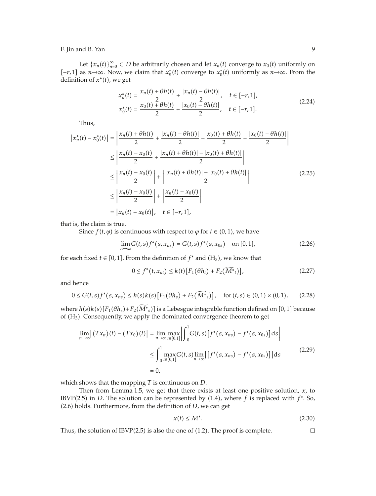Let  $\{x_n(t)\}_{n=0}^{\infty} \subset D$  be arbitrarily chosen and let  $x_n(t)$  converge to  $x_0(t)$  uniformly on  $[-r, 1]$  as  $n \rightarrow \infty$ . Now, we claim that  $x_n^*(t)$  converge to  $x_0^*(t)$  uniformly as  $n \rightarrow \infty$ . From the definition of  $x^*(t)$ , we get

$$
x_n^*(t) = \frac{x_n(t) + \theta h(t)}{2} + \frac{|x_n(t) - \theta h(t)|}{2}, \quad t \in [-r, 1],
$$
  
\n
$$
x_0^*(t) = \frac{x_0(t) + \theta h(t)}{2} + \frac{|x_0(t) - \theta h(t)|}{2}, \quad t \in [-r, 1].
$$
\n(2.24)

Thus,

$$
\left| x_{n}^{*}(t) - x_{0}^{*}(t) \right| = \left| \frac{x_{n}(t) + \theta h(t)}{2} + \frac{\left| x_{n}(t) - \theta h(t) \right|}{2} - \frac{x_{0}(t) + \theta h(t)}{2} - \frac{\left| x_{0}(t) - \theta h(t) \right|}{2} \right|
$$
  
\n
$$
\leq \left| \frac{x_{n}(t) - x_{0}(t)}{2} + \frac{\left| x_{n}(t) + \theta h(t) \right| - \left| x_{0}(t) + \theta h(t) \right|}{2} \right|
$$
  
\n
$$
\leq \left| \frac{x_{n}(t) - x_{0}(t)}{2} \right| + \left| \frac{\left| x_{n}(t) + \theta h(t) \right| - \left| x_{0}(t) + \theta h(t) \right|}{2} \right|
$$
  
\n
$$
\leq \left| \frac{x_{n}(t) - x_{0}(t)}{2} \right| + \left| \frac{x_{n}(t) - x_{0}(t)}{2} \right|
$$
  
\n
$$
= \left| x_{n}(t) - x_{0}(t) \right|, \quad t \in [-r, 1],
$$
  
\n(2.25)

that is, the claim is true.

Since *f(t,*  $\varphi$ *)* is continuous with respect to  $\varphi$  for *t*  $\in$  (0*,* 1*)*, we have

$$
\lim_{n \to \infty} G(t,s) f^*(s, x_{ns}) = G(t,s) f^*(s, x_{0s}) \quad \text{on } [0,1], \tag{2.26}
$$

for each fixed  $t \in [0, 1]$ . From the definition of  $f^*$  and  $(H_3)$ , we know that

$$
0 \le f^*(t, x_{nt}) \le k(t) \left[ F_1(\theta h_t) + F_2(\overline{M^*}_t) \right],
$$
 (2.27)

and hence

$$
0 \le G(t,s)f^*(s,x_{ns}) \le h(s)k(s)[F_1(\theta h_s) + F_2(\widetilde{M^*}_s)], \quad \text{for } (t,s) \in (0,1) \times (0,1), \tag{2.28}
$$

where  $h(s)k(s)[F_1(\theta h_s) + F_2(M^*_{s})]$  is a Lebesgue integrable function defined on [0, 1] because of  $(H_3)$ . Consequently, we apply the dominated convergence theorem to get

$$
\lim_{n \to \infty} |(Tx_n)(t) - (Tx_0)(t)| = \lim_{n \to \infty} \max_{t \in [0,1]} \left| \int_0^1 G(t,s) \left[ f^*(s, x_{ns}) - f^*(s, x_{0s}) \right] ds \right|
$$
  
\n
$$
\leq \int_0^1 \max_{t \in [0,1]} G(t,s) \lim_{n \to \infty} | \left[ f^*(s, x_{ns}) - f^*(s, x_{0s}) \right] | ds
$$
  
\n
$$
= 0,
$$
\n(2.29)

which shows that the mapping *T* is continuous on *D*.

Then from Lemma 1.5, we get that there exists at least one positive solution, *x*, to IBVP(2.5) in *D*. The solution can be represented by  $(1.4)$ , where *f* is replaced with  $f^*$ . So, 2.6 holds. Furthermore, from the definition of *D*, we can get

$$
x(t) \le M^*.\tag{2.30}
$$

Thus, the solution of  $IBVP(2.5)$  is also the one of  $(1.2)$ . The proof is complete.  $\Box$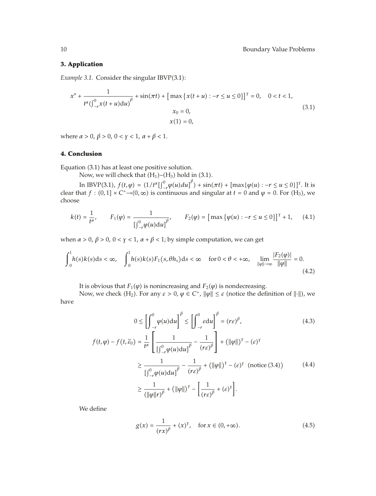#### **3. Application**

*Example 3.1.* Consider the singular IBVP(3.1):

$$
x'' + \frac{1}{t^{\alpha}(\int_{-r}^{0} x(t+u)du)^{\beta}} + \sin(\pi t) + \left[\max\left\{x(t+u) : -r \le u \le 0\right\}\right]^{r} = 0, \quad 0 < t < 1,
$$
  

$$
x_{0} = 0,
$$
  

$$
x(1) = 0,
$$
 (3.1)

where *α* > 0,  $β$  > 0, 0 <  $γ$  < 1,  $α + β$  < 1.

## **4. Conclusion**

Equation (3.1) has at least one positive solution.

Now, we will check that  $(H_1)$ – $(H_3)$  hold in  $(3.1)$ .

In IBVP(3.1), *f*(*t*, *ϕ*) = (1/*tα*[*f*<sup>0</sup><sub>*n*</sub> *φ*(*u*)*du*]<sup>*β*</sup>) + sin( $πt$ ) + [max{*ϕ*(*u*) : −*r* ≤ *u* ≤ 0}]<sup>*γ*</sup>. It is clear that  $f : (0,1] \times C^+ \rightarrow (0,\infty)$  is continuous and singular at  $t = 0$  and  $\varphi = 0$ . For  $(H_3)$ , we choose

$$
k(t) = \frac{1}{t^{\alpha}}, \qquad F_1(\varphi) = \frac{1}{\left[\int_{-r}^{0} \varphi(u) \mathrm{d}u\right]^{\beta}}, \qquad F_2(\varphi) = \left[\max \left\{\varphi(u) : -r \le u \le 0\right\}\right]^{\gamma} + 1, \tag{4.1}
$$

when  $\alpha > 0$ ,  $\beta > 0$ ,  $0 < \gamma < 1$ ,  $\alpha + \beta < 1$ ; by simple computation, we can get

 $(\|\varphi\|r)$ 

$$
\int_{0}^{1} h(s)k(s)ds < \infty, \quad \int_{0}^{1} h(s)k(s)F_{1}(s,\theta h_{s})ds < \infty \quad \text{ for } 0 < \theta < +\infty, \quad \lim_{\|\varphi\| \to \infty} \frac{|F_{2}(\varphi)|}{\|\varphi\|} = 0.
$$
\n(4.2)

It is obvious that  $F_1(\varphi)$  is nonincreasing and  $F_2(\varphi)$  is nondecreasing.

Now, we check (H<sub>2</sub>). For any *ε* > 0, *ϕ* ∈ *C*<sup>+</sup>,  $||$ *ϕ* $||$  ≤ *ε* (notice the definition of  $||⋅||$ ), we have

$$
0 \le \left[ \int_{-r}^{0} \varphi(u) du \right]^{\beta} \le \left[ \int_{-r}^{0} \varepsilon du \right]^{\beta} = (r\varepsilon)^{\beta}, \tag{4.3}
$$
\n
$$
f(t, \varphi) - f(t, \tilde{\varepsilon}_{0}) = \frac{1}{t^{\alpha}} \left[ \frac{1}{\left[ \int_{-r}^{0} \varphi(u) du \right]^{\beta}} - \frac{1}{(r\varepsilon)^{\beta}} \right] + (\|\varphi\|)^{\gamma} - (\varepsilon)^{\gamma}
$$
\n
$$
\ge \frac{1}{\left[ \int_{-r}^{0} \varphi(u) du \right]^{\beta}} - \frac{1}{(r\varepsilon)^{\beta}} + (\|\varphi\|)^{\gamma} - (\varepsilon)^{\gamma} \text{ (notice (3.4))}
$$
\n
$$
\ge \frac{1}{(\|\varphi\| r)^{\beta}} + (\|\varphi\|)^{\gamma} - \left[ \frac{1}{(r\varepsilon)^{\beta}} + (\varepsilon)^{\gamma} \right]. \tag{4.4}
$$

We define

$$
g(x) = \frac{1}{(rx)^{\beta}} + (x)^{\gamma}, \quad \text{for } x \in (0, +\infty). \tag{4.5}
$$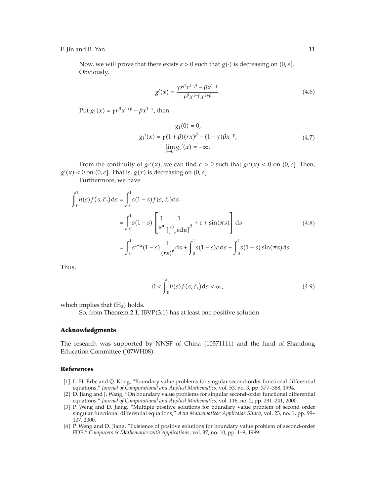Now, we will prove that there exists  $\varepsilon > 0$  such that  $g(\cdot)$  is decreasing on  $(0, \varepsilon]$ . Obviously,

$$
g'(x) = \frac{\gamma r^{\beta} x^{1+\beta} - \beta x^{1-\gamma}}{r^{\beta} x^{1-\gamma} x^{1+\beta}}.
$$
\n(4.6)

Put  $g_1(x) = \gamma r^{\beta} x^{1+\beta} - \beta x^{1-\gamma}$ , then

$$
g_1(0) = 0,
$$
  
\n
$$
g_1'(x) = \gamma (1 + \beta)(rx)^{\beta} - (1 - \gamma)\beta x^{-\gamma},
$$
  
\n
$$
\lim_{t \to 0^+} g_1'(x) = -\infty.
$$
\n(4.7)

From the continuity of  $g_1'(x)$ , we can find  $\varepsilon > 0$  such that  $g_1'(x) < 0$  on  $(0, \varepsilon]$ . Then,  $g'(x) < 0$  on  $(0, \varepsilon]$ . That is,  $g(x)$  is decreasing on  $(0, \varepsilon]$ .

Furthermore, we have

$$
\int_{0}^{1} h(s) f(s, \tilde{\varepsilon}_{s}) ds = \int_{0}^{1} s(1 - s) f(s, \tilde{\varepsilon}_{s}) ds
$$
  

$$
= \int_{0}^{1} s(1 - s) \left[ \frac{1}{s^{\alpha}} \frac{1}{\left[ \int_{-r}^{0} \varepsilon du \right]^{\beta}} + \varepsilon + \sin(\pi s) \right] ds
$$
(4.8)  

$$
= \int_{0}^{1} s^{1-\alpha} (1 - s) \frac{1}{\left( r \varepsilon \right)^{\beta}} ds + \int_{0}^{1} s(1 - s) \varepsilon ds + \int_{0}^{1} s(1 - s) \sin(\pi s) ds.
$$

Thus,

$$
0 < \int_0^1 h(s) f(s, \tilde{\varepsilon}_s) \, \mathrm{d}s < \infty,\tag{4.9}
$$

which implies that  $(H_2)$  holds.

So, from Theorem 2.1, IBVP $(3.1)$  has at least one positive solution.

#### **Acknowledgments**

The research was supported by NNSF of China (10571111) and the fund of Shandong Education Committee (J07WH08).

## **References**

- [1] L. H. Erbe and Q. Kong, "Boundary value problems for singular second-order functional differential equations," *Journal of Computational and Applied Mathematics*, vol. 53, no. 3, pp. 377–388, 1994.
- 2 D. Jiang and J. Wang, "On boundary value problems for singular second-order functional differential equations," *Journal of Computational and Applied Mathematics*, vol. 116, no. 2, pp. 231–241, 2000.
- [3] P. Weng and D. Jiang, "Multiple positive solutions for boundary value problem of second order singular functional differential equations," *Acta Mathematicae Applicatae Sinica*, vol. 23, no. 1, pp. 99– 107, 2000.
- 4 P. Weng and D. Jiang, "Existence of positive solutions for boundary value problem of second-order FDE," *Computers & Mathematics with Applications*, vol. 37, no. 10, pp. 1–9, 1999.